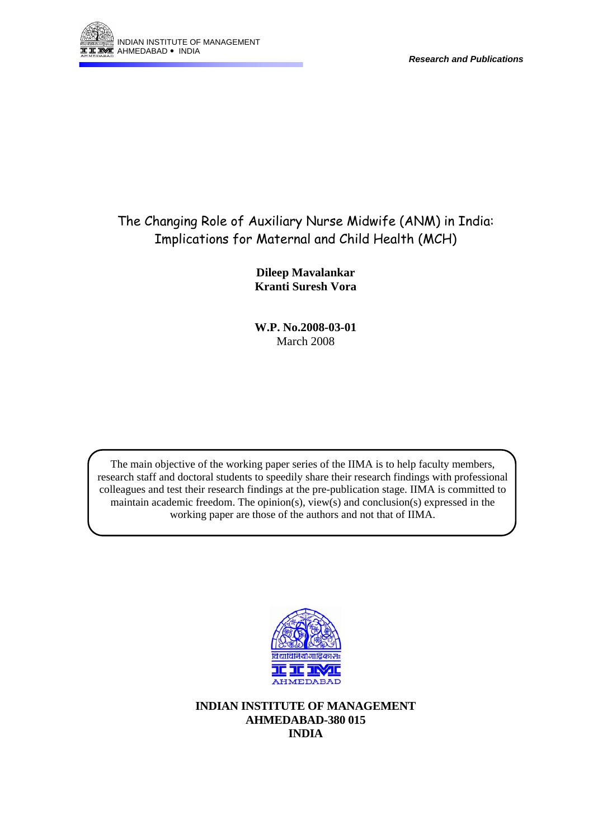

# The Changing Role of Auxiliary Nurse Midwife (ANM) in India: Implications for Maternal and Child Health (MCH)

**Dileep Mavalankar Kranti Suresh Vora** 

**W.P. No.2008-03-01**  March 2008

The main objective of the working paper series of the IIMA is to help faculty members, research staff and doctoral students to speedily share their research findings with professional colleagues and test their research findings at the pre-publication stage. IIMA is committed to maintain academic freedom. The opinion(s), view(s) and conclusion(s) expressed in the working paper are those of the authors and not that of IIMA.



**INDIAN INSTITUTE OF MANAGEMENT AHMEDABAD-380 015 INDIA**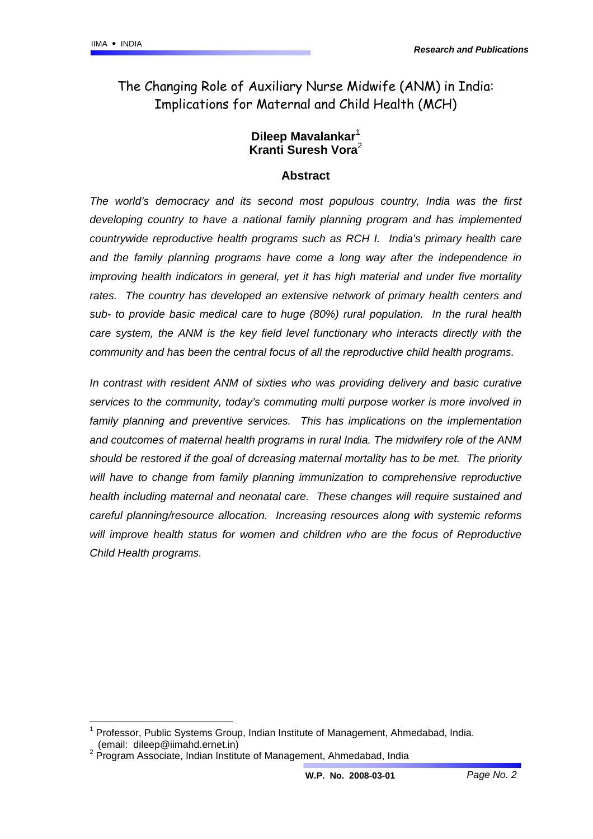The Changing Role of Auxiliary Nurse Midwife (ANM) in India: Implications for Maternal and Child Health (MCH)

## **Dileep Mavalankar**[1](#page-1-0) **Kranti Suresh Vora**[2](#page-1-1)

#### **Abstract**

*The world's democracy and its second most populous country, India was the first developing country to have a national family planning program and has implemented countrywide reproductive health programs such as RCH I. India's primary health care and the family planning programs have come a long way after the independence in improving health indicators in general, yet it has high material and under five mortality*  rates. The country has developed an extensive network of primary health centers and *sub- to provide basic medical care to huge (80%) rural population. In the rural health care system, the ANM is the key field level functionary who interacts directly with the community and has been the central focus of all the reproductive child health programs.* 

*In contrast with resident ANM of sixties who was providing delivery and basic curative services to the community, today's commuting multi purpose worker is more involved in family planning and preventive services. This has implications on the implementation and coutcomes of maternal health programs in rural India. The midwifery role of the ANM should be restored if the goal of dcreasing maternal mortality has to be met. The priority will have to change from family planning immunization to comprehensive reproductive health including maternal and neonatal care. These changes will require sustained and careful planning/resource allocation. Increasing resources along with systemic reforms will improve health status for women and children who are the focus of Reproductive Child Health programs.* 

<span id="page-1-0"></span> <sup>1</sup> Professor, Public Systems Group, Indian Institute of Management, Ahmedabad, India. (email: dileep@iimahd.ernet.in) 2

<span id="page-1-1"></span> $2$  Program Associate, Indian Institute of Management, Ahmedabad, India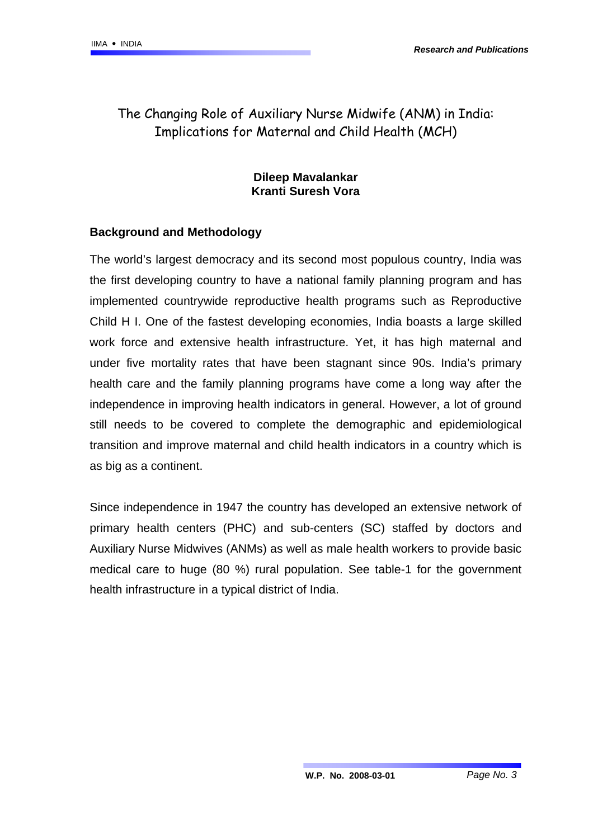## The Changing Role of Auxiliary Nurse Midwife (ANM) in India: Implications for Maternal and Child Health (MCH)

## **Dileep Mavalankar Kranti Suresh Vora**

## **Background and Methodology**

The world's largest democracy and its second most populous country, India was the first developing country to have a national family planning program and has implemented countrywide reproductive health programs such as Reproductive Child H I. One of the fastest developing economies, India boasts a large skilled work force and extensive health infrastructure. Yet, it has high maternal and under five mortality rates that have been stagnant since 90s. India's primary health care and the family planning programs have come a long way after the independence in improving health indicators in general. However, a lot of ground still needs to be covered to complete the demographic and epidemiological transition and improve maternal and child health indicators in a country which is as big as a continent.

Since independence in 1947 the country has developed an extensive network of primary health centers (PHC) and sub-centers (SC) staffed by doctors and Auxiliary Nurse Midwives (ANMs) as well as male health workers to provide basic medical care to huge (80 %) rural population. See table-1 for the government health infrastructure in a typical district of India.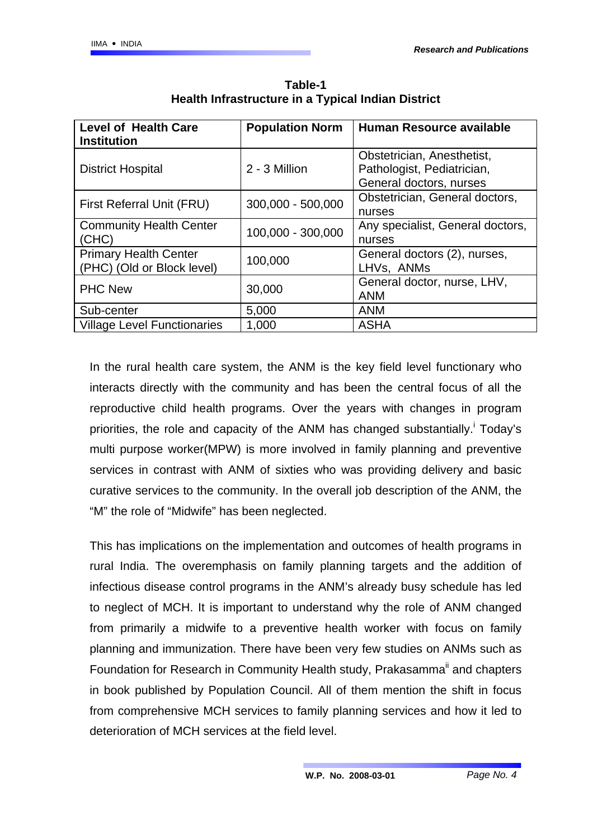| <b>Level of Health Care</b><br><b>Institution</b>          | <b>Population Norm</b> | Human Resource available                                                            |
|------------------------------------------------------------|------------------------|-------------------------------------------------------------------------------------|
| <b>District Hospital</b>                                   | 2 - 3 Million          | Obstetrician, Anesthetist,<br>Pathologist, Pediatrician,<br>General doctors, nurses |
| First Referral Unit (FRU)                                  | 300,000 - 500,000      | Obstetrician, General doctors,<br>nurses                                            |
| <b>Community Health Center</b><br>(CHC)                    | 100,000 - 300,000      | Any specialist, General doctors,<br>nurses                                          |
| <b>Primary Health Center</b><br>(PHC) (Old or Block level) | 100,000                | General doctors (2), nurses,<br>LHVs, ANMs                                          |
| <b>PHC New</b>                                             | 30,000                 | General doctor, nurse, LHV,<br><b>ANM</b>                                           |
| Sub-center                                                 | 5,000                  | <b>ANM</b>                                                                          |
| <b>Village Level Functionaries</b>                         | 1,000                  | <b>ASHA</b>                                                                         |

**Table-1 Health Infrastructure in a Typical Indian District** 

In the rural health care system, the ANM is the key field level functionary who interacts directly with the community and has been the central focus of all the reproductive child health programs. Over the years with changes in program priorities,the role and capacity of the ANM has changed substantially.<sup>i</sup> Today's multi purpose worker(MPW) is more involved in family planning and preventive services in contrast with ANM of sixties who was providing delivery and basic curative services to the community. In the overall job description of the ANM, the "M" the role of "Midwife" has been neglected.

This has implications on the implementation and outcomes of health programs in rural India. The overemphasis on family planning targets and the addition of infectious disease control programs in the ANM's already busy schedule has led to neglect of MCH. It is important to understand why the role of ANM changed from primarily a midwife to a preventive health worker with focus on family planning and immunization. There have been very few studies on ANMs such as Foundation for Research in Community Health study, Prakasamma<sup>ii</sup> and chapters in book published by Population Council. All of them mention the shift in focus from comprehensive MCH services to family planning services and how it led to deterioration of MCH services at the field level.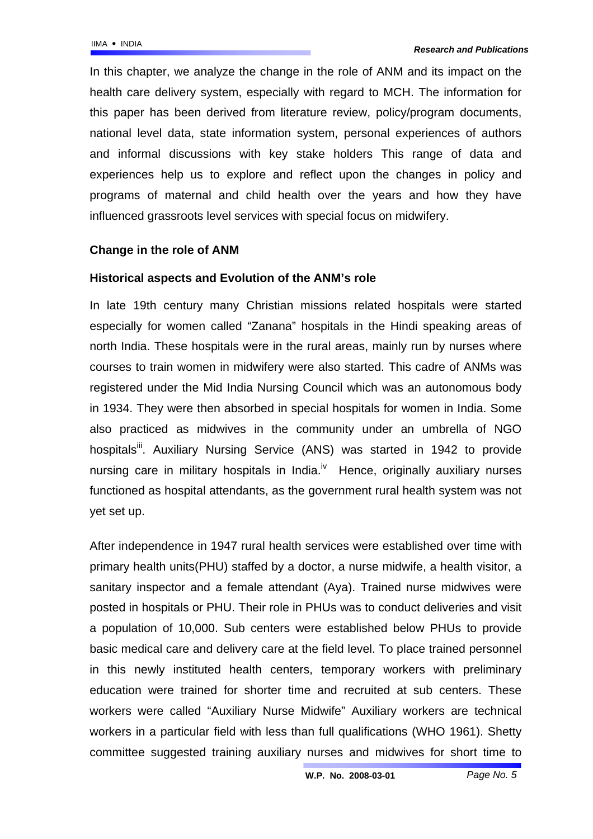In this chapter, we analyze the change in the role of ANM and its impact on the health care delivery system, especially with regard to MCH. The information for this paper has been derived from literature review, policy/program documents, national level data, state information system, personal experiences of authors and informal discussions with key stake holders This range of data and experiences help us to explore and reflect upon the changes in policy and programs of maternal and child health over the years and how they have influenced grassroots level services with special focus on midwifery.

## **Change in the role of ANM**

#### **Historical aspects and Evolution of the ANM's role**

In late 19th century many Christian missions related hospitals were started especially for women called "Zanana" hospitals in the Hindi speaking areas of north India. These hospitals were in the rural areas, mainly run by nurses where courses to train women in midwifery were also started. This cadre of ANMs was registered under the Mid India Nursing Council which was an autonomous body in 1934. They were then absorbed in special hospitals for women in India. Some also practiced as midwives in the community under an umbrella of NGO hospitals<sup>ii</sup>. Auxiliary Nursing Service (ANS) was started in 1942 to provide nursing care in military hospitals in India.<sup>iv</sup> Hence, originally auxiliary nurses functioned as hospital attendants, as the government rural health system was not yet set up.

After independence in 1947 rural health services were established over time with primary health units(PHU) staffed by a doctor, a nurse midwife, a health visitor, a sanitary inspector and a female attendant (Aya). Trained nurse midwives were posted in hospitals or PHU. Their role in PHUs was to conduct deliveries and visit a population of 10,000. Sub centers were established below PHUs to provide basic medical care and delivery care at the field level. To place trained personnel in this newly instituted health centers, temporary workers with preliminary education were trained for shorter time and recruited at sub centers. These workers were called "Auxiliary Nurse Midwife" Auxiliary workers are technical workers in a particular field with less than full qualifications (WHO 1961). Shetty committee suggested training auxiliary nurses and midwives for short time to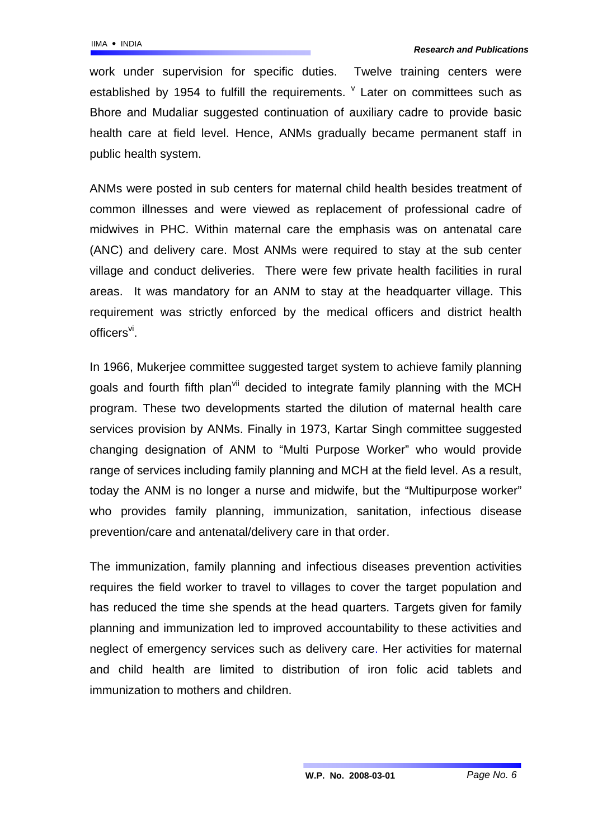work under supervision for specific duties. Twelve training centers were establishedby 1954 to fulfill the requirements.  $\sqrt{ }$  Later on committees such as Bhore and Mudaliar suggested continuation of auxiliary cadre to provide basic health care at field level. Hence, ANMs gradually became permanent staff in public health system.

ANMs were posted in sub centers for maternal child health besides treatment of common illnesses and were viewed as replacement of professional cadre of midwives in PHC. Within maternal care the emphasis was on antenatal care (ANC) and delivery care. Most ANMs were required to stay at the sub center village and conduct deliveries. There were few private health facilities in rural areas. It was mandatory for an ANM to stay at the headquarter village. This requirement was strictly enforced by the medical officers and district health  $of$ ficers $V^i$ .

In 1966, Mukerjee committee suggested target system to achieve family planning goals and fourth fifth plan<sup>vii</sup> decided to integrate family planning with the MCH program. These two developments started the dilution of maternal health care services provision by ANMs. Finally in 1973, Kartar Singh committee suggested changing designation of ANM to "Multi Purpose Worker" who would provide range of services including family planning and MCH at the field level. As a result, today the ANM is no longer a nurse and midwife, but the "Multipurpose worker" who provides family planning, immunization, sanitation, infectious disease prevention/care and antenatal/delivery care in that order.

The immunization, family planning and infectious diseases prevention activities requires the field worker to travel to villages to cover the target population and has reduced the time she spends at the head quarters. Targets given for family planning and immunization led to improved accountability to these activities and neglect of emergency services such as delivery care. Her activities for maternal and child health are limited to distribution of iron folic acid tablets and immunization to mothers and children.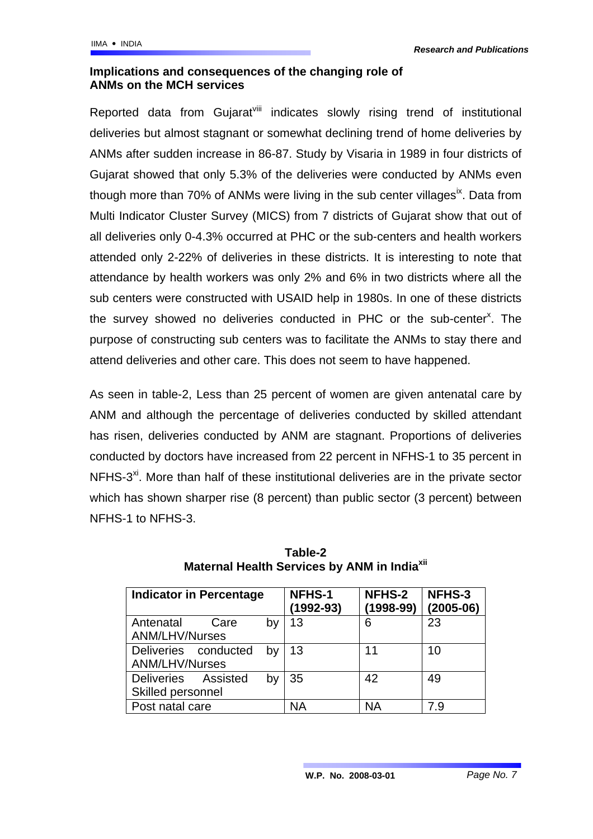### **Implications and consequences of the changing role of ANMs on the MCH services**

Reported data from Gujarat<sup>viii</sup> indicates slowly rising trend of institutional deliveries but almost stagnant or somewhat declining trend of home deliveries by ANMs after sudden increase in 86-87. Study by Visaria in 1989 in four districts of Gujarat showed that only 5.3% of the deliveries were conducted by ANMs even though more than  $70\%$  of ANMs were living in the sub center villages<sup>ix</sup>. Data from Multi Indicator Cluster Survey (MICS) from 7 districts of Gujarat show that out of all deliveries only 0-4.3% occurred at PHC or the sub-centers and health workers attended only 2-22% of deliveries in these districts. It is interesting to note that attendance by health workers was only 2% and 6% in two districts where all the sub centers were constructed with USAID help in 1980s. In one of these districts the survey showed no deliveries conducted in PHC or the sub-center<sup>x</sup>[.](#page-19-9) The purpose of constructing sub centers was to facilitate the ANMs to stay there and attend deliveries and other care. This does not seem to have happened.

As seen in table-2, Less than 25 percent of women are given antenatal care by ANM and although the percentage of deliveries conducted by skilled attendant has risen, deliveries conducted by ANM are stagnant. Proportions of deliveries conducted by doctors have increased from 22 percent in NFHS-1 to 35 percent in NFHS-3<sup>xi</sup>. More than half of these institutional deliveries are in the private sector which has shown sharper rise (8 percent) than public sector (3 percent) between NFHS-1 to NFHS-3.

| <b>Indicator in Percentage</b> |                      | <b>NFHS-1</b><br>(1992-93) | NFHS-2<br>$(1998-99)$ | NFHS-3<br>$(2005-06)$ |    |
|--------------------------------|----------------------|----------------------------|-----------------------|-----------------------|----|
| Antenatal                      | Care                 | by                         | 13                    | 6                     | 23 |
| <b>ANM/LHV/Nurses</b>          |                      |                            |                       |                       |    |
|                                | Deliveries conducted | bv                         | 13                    | 11                    | 10 |
| <b>ANM/LHV/Nurses</b>          |                      |                            |                       |                       |    |
| Deliveries Assisted            |                      | b٧                         | 35                    | 42                    | 49 |
| Skilled personnel              |                      |                            |                       |                       |    |
| Post natal care                |                      | ΝA                         | <b>NA</b>             | 7.9                   |    |

**Table-2 Maternal Health Services by ANM in India<sup>xii</sup>**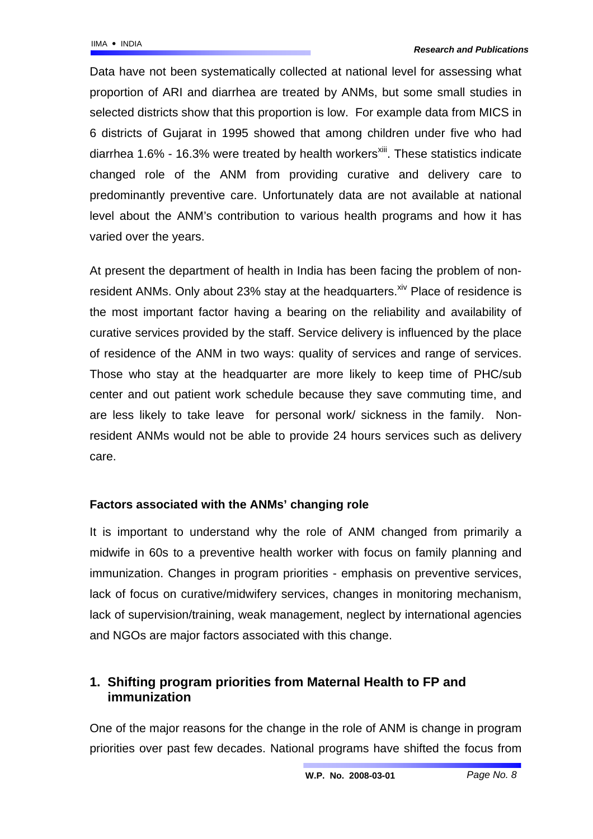Data have not been systematically collected at national level for assessing what proportion of ARI and diarrhea are treated by ANMs, but some small studies in selected districts show that this proportion is low. For example data from MICS in 6 districts of Gujarat in 1995 showed that among children under five who had diarrhea  $1.6\%$  -  $16.3\%$  were treated by health workers<sup>xiii</sup>. These statistics indicate changed role of the ANM from providing curative and delivery care to predominantly preventive care. Unfortunately data are not available at national level about the ANM's contribution to various health programs and how it has varied over the years.

At present the department of health in India has been facing the problem of nonresident ANMs. Only about 23% stay at the headquarters. Xiv Place of residence is the most important factor having a bearing on the reliability and availability of curative services provided by the staff. Service delivery is influenced by the place of residence of the ANM in two ways: quality of services and range of services. Those who stay at the headquarter are more likely to keep time of PHC/sub center and out patient work schedule because they save commuting time, and are less likely to take leave for personal work/ sickness in the family. Nonresident ANMs would not be able to provide 24 hours services such as delivery care.

## **Factors associated with the ANMs' changing role**

It is important to understand why the role of ANM changed from primarily a midwife in 60s to a preventive health worker with focus on family planning and immunization. Changes in program priorities - emphasis on preventive services, lack of focus on curative/midwifery services, changes in monitoring mechanism, lack of supervision/training, weak management, neglect by international agencies and NGOs are major factors associated with this change.

## **1. Shifting program priorities from Maternal Health to FP and immunization**

One of the major reasons for the change in the role of ANM is change in program priorities over past few decades. National programs have shifted the focus from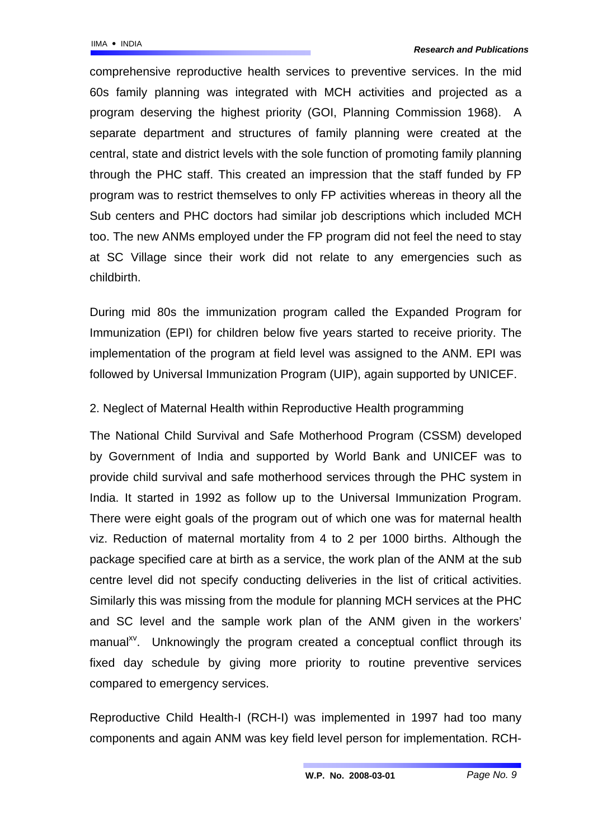comprehensive reproductive health services to preventive services. In the mid 60s family planning was integrated with MCH activities and projected as a program deserving the highest priority (GOI, Planning Commission 1968). A separate department and structures of family planning were created at the central, state and district levels with the sole function of promoting family planning through the PHC staff. This created an impression that the staff funded by FP program was to restrict themselves to only FP activities whereas in theory all the Sub centers and PHC doctors had similar job descriptions which included MCH too. The new ANMs employed under the FP program did not feel the need to stay at SC Village since their work did not relate to any emergencies such as childbirth.

During mid 80s the immunization program called the Expanded Program for Immunization (EPI) for children below five years started to receive priority. The implementation of the program at field level was assigned to the ANM. EPI was followed by Universal Immunization Program (UIP), again supported by UNICEF.

## 2. Neglect of Maternal Health within Reproductive Health programming

The National Child Survival and Safe Motherhood Program (CSSM) developed by Government of India and supported by World Bank and UNICEF was to provide child survival and safe motherhood services through the PHC system in India. It started in 1992 as follow up to the Universal Immunization Program. There were eight goals of the program out of which one was for maternal health viz. Reduction of maternal mortality from 4 to 2 per 1000 births. Although the package specified care at birth as a service, the work plan of the ANM at the sub centre level did not specify conducting deliveries in the list of critical activities. Similarly this was missing from the module for planning MCH services at the PHC and SC level and the sample work plan of the ANM given in the workers' manual<sup>xv</sup>. Unknowingly the program created a conceptual conflict through its fixed day schedule by giving more priority to routine preventive services compared to emergency services.

Reproductive Child Health-I (RCH-I) was implemented in 1997 had too many components and again ANM was key field level person for implementation. RCH-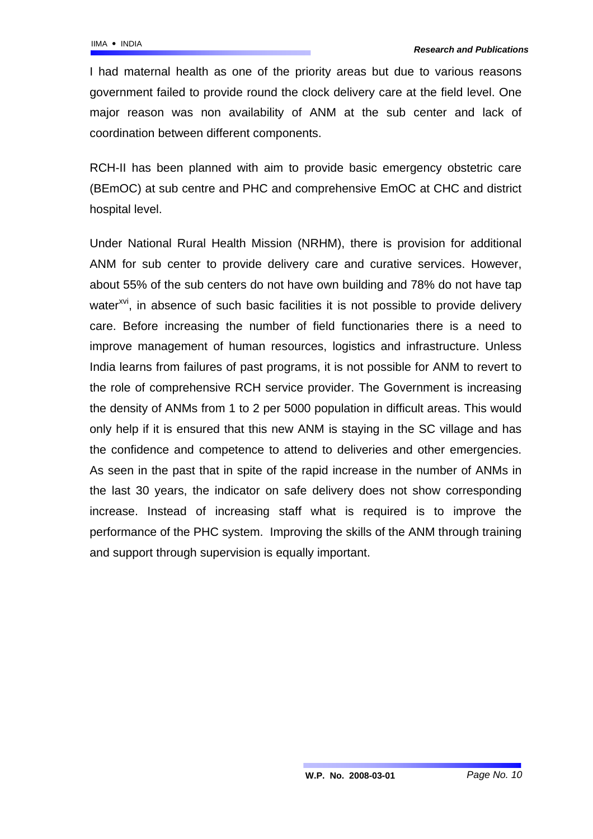I had maternal health as one of the priority areas but due to various reasons government failed to provide round the clock delivery care at the field level. One major reason was non availability of ANM at the sub center and lack of coordination between different components.

RCH-II has been planned with aim to provide basic emergency obstetric care (BEmOC) at sub centre and PHC and comprehensive EmOC at CHC and district hospital level.

Under National Rural Health Mission (NRHM), there is provision for additional ANM for sub center to provide delivery care and curative services. However, about 55% of the sub centers do not have own building and 78% do not have tap water<sup>[xvi](#page-19-15)</sup>, in absence of such basic facilities it is not possible to provide delivery care. Before increasing the number of field functionaries there is a need to improve management of human resources, logistics and infrastructure. Unless India learns from failures of past programs, it is not possible for ANM to revert to the role of comprehensive RCH service provider. The Government is increasing the density of ANMs from 1 to 2 per 5000 population in difficult areas. This would only help if it is ensured that this new ANM is staying in the SC village and has the confidence and competence to attend to deliveries and other emergencies. As seen in the past that in spite of the rapid increase in the number of ANMs in the last 30 years, the indicator on safe delivery does not show corresponding increase. Instead of increasing staff what is required is to improve the performance of the PHC system. Improving the skills of the ANM through training and support through supervision is equally important.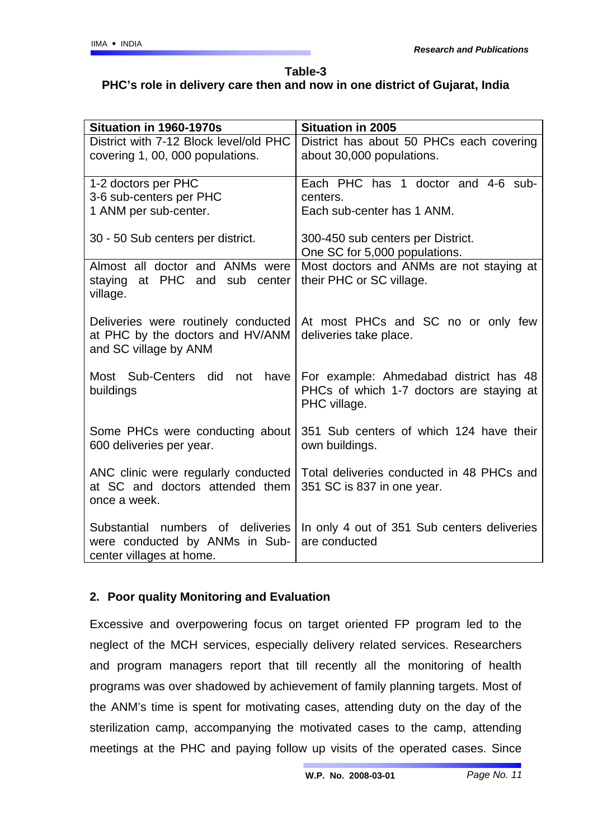## **Table-3 PHC's role in delivery care then and now in one district of Gujarat, India**

| Situation in 1960-1970s                | <b>Situation in 2005</b>                    |  |  |
|----------------------------------------|---------------------------------------------|--|--|
| District with 7-12 Block level/old PHC | District has about 50 PHCs each covering    |  |  |
| covering 1, 00, 000 populations.       | about 30,000 populations.                   |  |  |
|                                        |                                             |  |  |
| 1-2 doctors per PHC                    | Each PHC has 1 doctor and 4-6 sub-          |  |  |
| 3-6 sub-centers per PHC                | centers.                                    |  |  |
| 1 ANM per sub-center.                  | Each sub-center has 1 ANM.                  |  |  |
|                                        |                                             |  |  |
| 30 - 50 Sub centers per district.      | 300-450 sub centers per District.           |  |  |
|                                        | One SC for 5,000 populations.               |  |  |
| Almost all doctor and ANMs were        | Most doctors and ANMs are not staying at    |  |  |
| at PHC and sub center<br>staying       | their PHC or SC village.                    |  |  |
|                                        |                                             |  |  |
| village.                               |                                             |  |  |
| Deliveries were routinely conducted    | At most PHCs and SC no or only few          |  |  |
| at PHC by the doctors and HV/ANM       | deliveries take place.                      |  |  |
|                                        |                                             |  |  |
| and SC village by ANM                  |                                             |  |  |
| Most Sub-Centers did not have          | For example: Ahmedabad district has 48      |  |  |
|                                        |                                             |  |  |
| buildings                              | PHCs of which 1-7 doctors are staying at    |  |  |
|                                        | PHC village.                                |  |  |
| Some PHCs were conducting about        | 351 Sub centers of which 124 have their     |  |  |
| 600 deliveries per year.               | own buildings.                              |  |  |
|                                        |                                             |  |  |
| ANC clinic were regularly conducted    | Total deliveries conducted in 48 PHCs and   |  |  |
| at SC and doctors attended them        | 351 SC is 837 in one year.                  |  |  |
| once a week.                           |                                             |  |  |
|                                        |                                             |  |  |
| Substantial numbers of deliveries      | In only 4 out of 351 Sub centers deliveries |  |  |
| were conducted by ANMs in Sub-         | are conducted                               |  |  |
| center villages at home.               |                                             |  |  |
|                                        |                                             |  |  |

## **2. Poor quality Monitoring and Evaluation**

Excessive and overpowering focus on target oriented FP program led to the neglect of the MCH services, especially delivery related services. Researchers and program managers report that till recently all the monitoring of health programs was over shadowed by achievement of family planning targets. Most of the ANM's time is spent for motivating cases, attending duty on the day of the sterilization camp, accompanying the motivated cases to the camp, attending meetings at the PHC and paying follow up visits of the operated cases. Since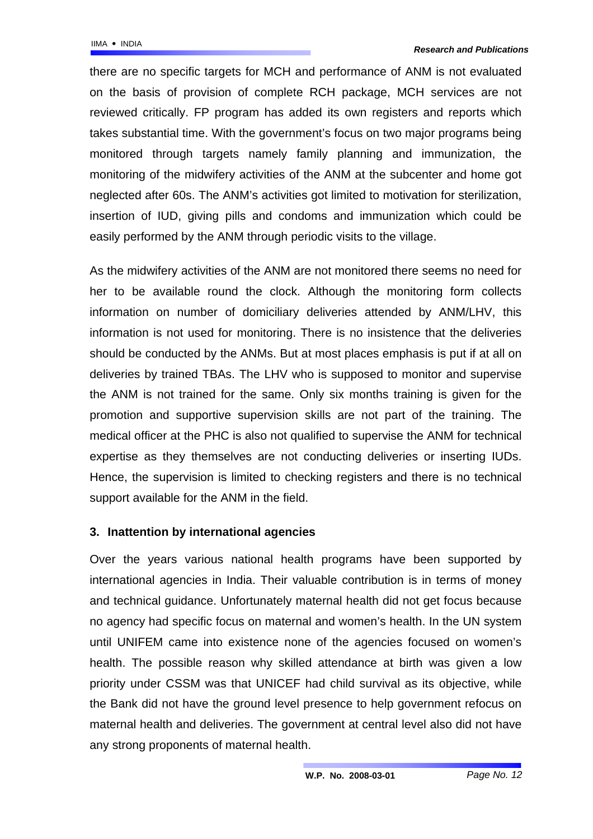there are no specific targets for MCH and performance of ANM is not evaluated on the basis of provision of complete RCH package, MCH services are not reviewed critically. FP program has added its own registers and reports which takes substantial time. With the government's focus on two major programs being monitored through targets namely family planning and immunization, the monitoring of the midwifery activities of the ANM at the subcenter and home got neglected after 60s. The ANM's activities got limited to motivation for sterilization, insertion of IUD, giving pills and condoms and immunization which could be easily performed by the ANM through periodic visits to the village.

As the midwifery activities of the ANM are not monitored there seems no need for her to be available round the clock. Although the monitoring form collects information on number of domiciliary deliveries attended by ANM/LHV, this information is not used for monitoring. There is no insistence that the deliveries should be conducted by the ANMs. But at most places emphasis is put if at all on deliveries by trained TBAs. The LHV who is supposed to monitor and supervise the ANM is not trained for the same. Only six months training is given for the promotion and supportive supervision skills are not part of the training. The medical officer at the PHC is also not qualified to supervise the ANM for technical expertise as they themselves are not conducting deliveries or inserting IUDs. Hence, the supervision is limited to checking registers and there is no technical support available for the ANM in the field.

## **3. Inattention by international agencies**

Over the years various national health programs have been supported by international agencies in India. Their valuable contribution is in terms of money and technical guidance. Unfortunately maternal health did not get focus because no agency had specific focus on maternal and women's health. In the UN system until UNIFEM came into existence none of the agencies focused on women's health. The possible reason why skilled attendance at birth was given a low priority under CSSM was that UNICEF had child survival as its objective, while the Bank did not have the ground level presence to help government refocus on maternal health and deliveries. The government at central level also did not have any strong proponents of maternal health.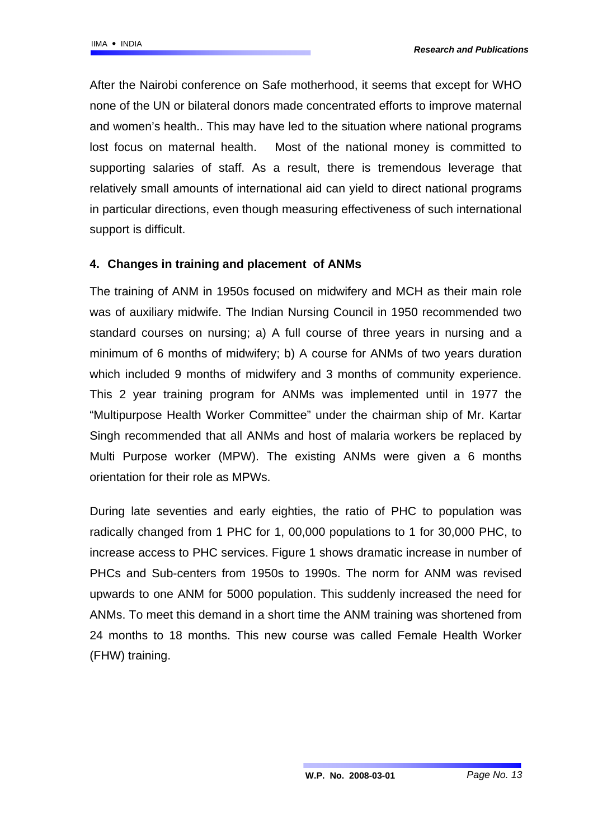After the Nairobi conference on Safe motherhood, it seems that except for WHO none of the UN or bilateral donors made concentrated efforts to improve maternal and women's health.. This may have led to the situation where national programs lost focus on maternal health. Most of the national money is committed to supporting salaries of staff. As a result, there is tremendous leverage that relatively small amounts of international aid can yield to direct national programs in particular directions, even though measuring effectiveness of such international support is difficult.

## **4. Changes in training and placement of ANMs**

The training of ANM in 1950s focused on midwifery and MCH as their main role was of auxiliary midwife. The Indian Nursing Council in 1950 recommended two standard courses on nursing; a) A full course of three years in nursing and a minimum of 6 months of midwifery; b) A course for ANMs of two years duration which included 9 months of midwifery and 3 months of community experience. This 2 year training program for ANMs was implemented until in 1977 the "Multipurpose Health Worker Committee" under the chairman ship of Mr. Kartar Singh recommended that all ANMs and host of malaria workers be replaced by Multi Purpose worker (MPW). The existing ANMs were given a 6 months orientation for their role as MPWs.

During late seventies and early eighties, the ratio of PHC to population was radically changed from 1 PHC for 1, 00,000 populations to 1 for 30,000 PHC, to increase access to PHC services. Figure 1 shows dramatic increase in number of PHCs and Sub-centers from 1950s to 1990s. The norm for ANM was revised upwards to one ANM for 5000 population. This suddenly increased the need for ANMs. To meet this demand in a short time the ANM training was shortened from 24 months to 18 months. This new course was called Female Health Worker (FHW) training.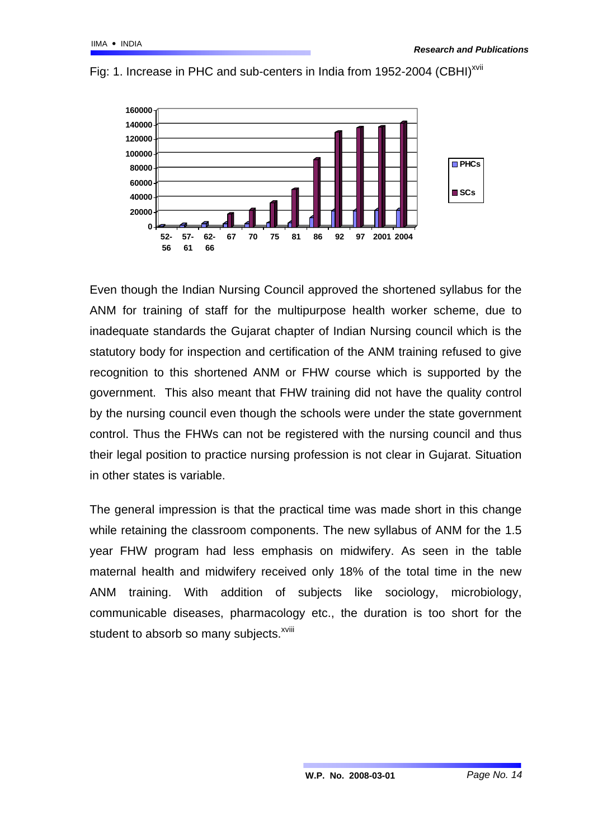

Fig: 1. Increase in PHC and sub-centers in India from 1952-2004 (CBHI)<sup>[xvii](#page-19-16)</sup>

Even though the Indian Nursing Council approved the shortened syllabus for the ANM for training of staff for the multipurpose health worker scheme, due to inadequate standards the Gujarat chapter of Indian Nursing council which is the statutory body for inspection and certification of the ANM training refused to give recognition to this shortened ANM or FHW course which is supported by the government. This also meant that FHW training did not have the quality control by the nursing council even though the schools were under the state government control. Thus the FHWs can not be registered with the nursing council and thus their legal position to practice nursing profession is not clear in Gujarat. Situation in other states is variable.

The general impression is that the practical time was made short in this change while retaining the classroom components. The new syllabus of ANM for the 1.5 year FHW program had less emphasis on midwifery. As seen in the table maternal health and midwifery received only 18% of the total time in the new ANM training. With addition of subjects like sociology, microbiology, communicable diseases, pharmacology etc., the duration is too short for the student to absorb so many subjects.<sup>xviii</sup>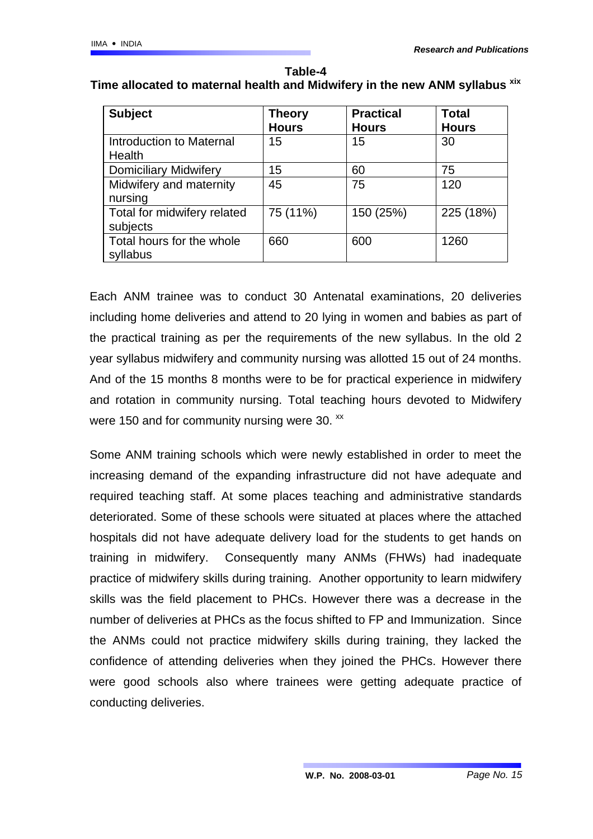| <b>Subject</b>                            | <b>Theory</b><br><b>Hours</b> | <b>Practical</b><br><b>Hours</b> | <b>Total</b><br><b>Hours</b> |
|-------------------------------------------|-------------------------------|----------------------------------|------------------------------|
| Introduction to Maternal<br><b>Health</b> | 15                            | 15                               | 30                           |
| <b>Domiciliary Midwifery</b>              | 15                            | 60                               | 75                           |
| Midwifery and maternity<br>nursing        | 45                            | 75                               | 120                          |
| Total for midwifery related<br>subjects   | 75 (11%)                      | 150 (25%)                        | 225 (18%)                    |
| Total hours for the whole<br>syllabus     | 660                           | 600                              | 1260                         |

**Table-4 Time allocated to maternal health and Midwifery in the new ANM syllabus [xix](#page-19-18)**

Each ANM trainee was to conduct 30 Antenatal examinations, 20 deliveries including home deliveries and attend to 20 lying in women and babies as part of the practical training as per the requirements of the new syllabus. In the old 2 year syllabus midwifery and community nursing was allotted 15 out of 24 months. And of the 15 months 8 months were to be for practical experience in midwifery and rotation in community nursing. Total teaching hours devoted to Midwifery were 150 and for community nursing were 30. <sup>[xx](#page-19-19)</sup>

Some ANM training schools which were newly established in order to meet the increasing demand of the expanding infrastructure did not have adequate and required teaching staff. At some places teaching and administrative standards deteriorated. Some of these schools were situated at places where the attached hospitals did not have adequate delivery load for the students to get hands on training in midwifery. Consequently many ANMs (FHWs) had inadequate practice of midwifery skills during training. Another opportunity to learn midwifery skills was the field placement to PHCs. However there was a decrease in the number of deliveries at PHCs as the focus shifted to FP and Immunization. Since the ANMs could not practice midwifery skills during training, they lacked the confidence of attending deliveries when they joined the PHCs. However there were good schools also where trainees were getting adequate practice of conducting deliveries.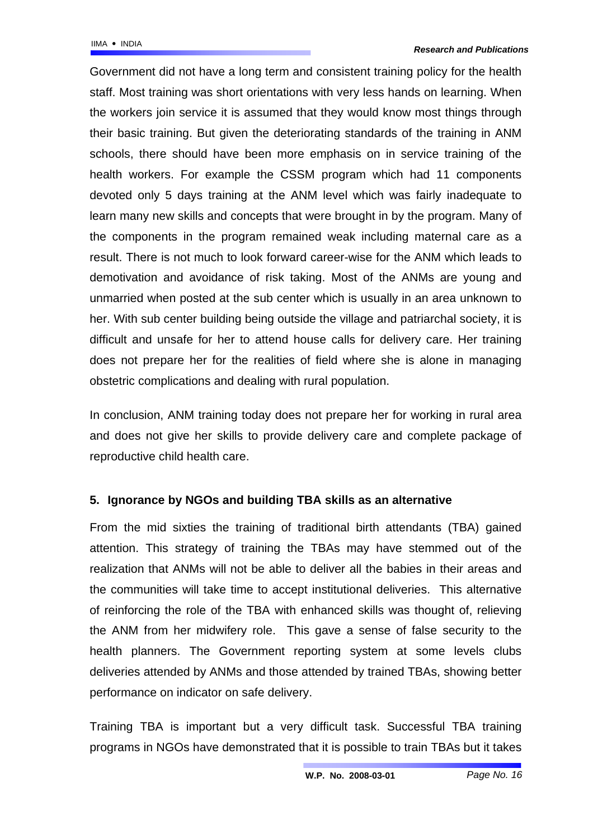Government did not have a long term and consistent training policy for the health staff. Most training was short orientations with very less hands on learning. When the workers join service it is assumed that they would know most things through their basic training. But given the deteriorating standards of the training in ANM schools, there should have been more emphasis on in service training of the health workers. For example the CSSM program which had 11 components devoted only 5 days training at the ANM level which was fairly inadequate to learn many new skills and concepts that were brought in by the program. Many of the components in the program remained weak including maternal care as a result. There is not much to look forward career-wise for the ANM which leads to demotivation and avoidance of risk taking. Most of the ANMs are young and unmarried when posted at the sub center which is usually in an area unknown to her. With sub center building being outside the village and patriarchal society, it is difficult and unsafe for her to attend house calls for delivery care. Her training does not prepare her for the realities of field where she is alone in managing obstetric complications and dealing with rural population.

In conclusion, ANM training today does not prepare her for working in rural area and does not give her skills to provide delivery care and complete package of reproductive child health care.

## **5. Ignorance by NGOs and building TBA skills as an alternative**

From the mid sixties the training of traditional birth attendants (TBA) gained attention. This strategy of training the TBAs may have stemmed out of the realization that ANMs will not be able to deliver all the babies in their areas and the communities will take time to accept institutional deliveries. This alternative of reinforcing the role of the TBA with enhanced skills was thought of, relieving the ANM from her midwifery role. This gave a sense of false security to the health planners. The Government reporting system at some levels clubs deliveries attended by ANMs and those attended by trained TBAs, showing better performance on indicator on safe delivery.

Training TBA is important but a very difficult task. Successful TBA training programs in NGOs have demonstrated that it is possible to train TBAs but it takes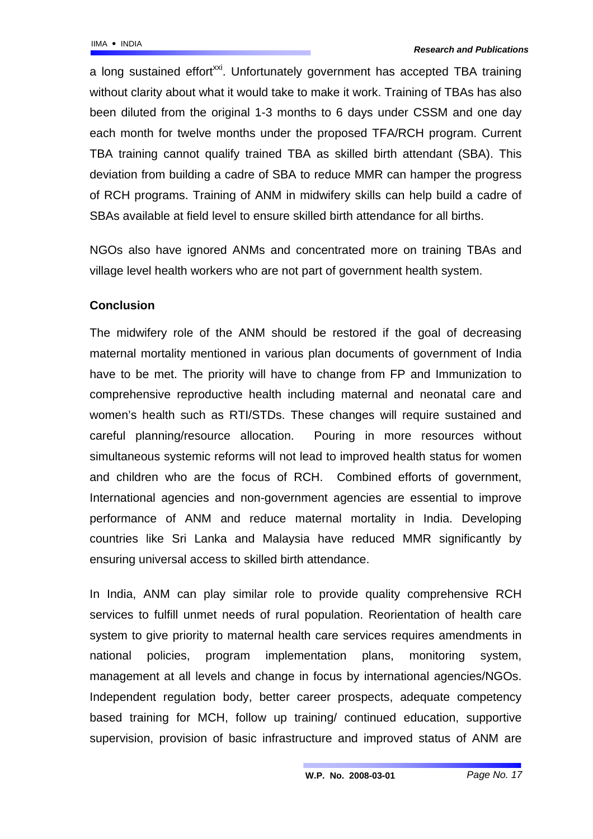a long sustained effort<sup>xxi</sup>. Unfortunately government has accepted TBA training without clarity about what it would take to make it work. Training of TBAs has also been diluted from the original 1-3 months to 6 days under CSSM and one day each month for twelve months under the proposed TFA/RCH program. Current TBA training cannot qualify trained TBA as skilled birth attendant (SBA). This deviation from building a cadre of SBA to reduce MMR can hamper the progress of RCH programs. Training of ANM in midwifery skills can help build a cadre of SBAs available at field level to ensure skilled birth attendance for all births.

NGOs also have ignored ANMs and concentrated more on training TBAs and village level health workers who are not part of government health system.

## **Conclusion**

The midwifery role of the ANM should be restored if the goal of decreasing maternal mortality mentioned in various plan documents of government of India have to be met. The priority will have to change from FP and Immunization to comprehensive reproductive health including maternal and neonatal care and women's health such as RTI/STDs. These changes will require sustained and careful planning/resource allocation. Pouring in more resources without simultaneous systemic reforms will not lead to improved health status for women and children who are the focus of RCH. Combined efforts of government, International agencies and non-government agencies are essential to improve performance of ANM and reduce maternal mortality in India. Developing countries like Sri Lanka and Malaysia have reduced MMR significantly by ensuring universal access to skilled birth attendance.

In India, ANM can play similar role to provide quality comprehensive RCH services to fulfill unmet needs of rural population. Reorientation of health care system to give priority to maternal health care services requires amendments in national policies, program implementation plans, monitoring system, management at all levels and change in focus by international agencies/NGOs. Independent regulation body, better career prospects, adequate competency based training for MCH, follow up training/ continued education, supportive supervision, provision of basic infrastructure and improved status of ANM are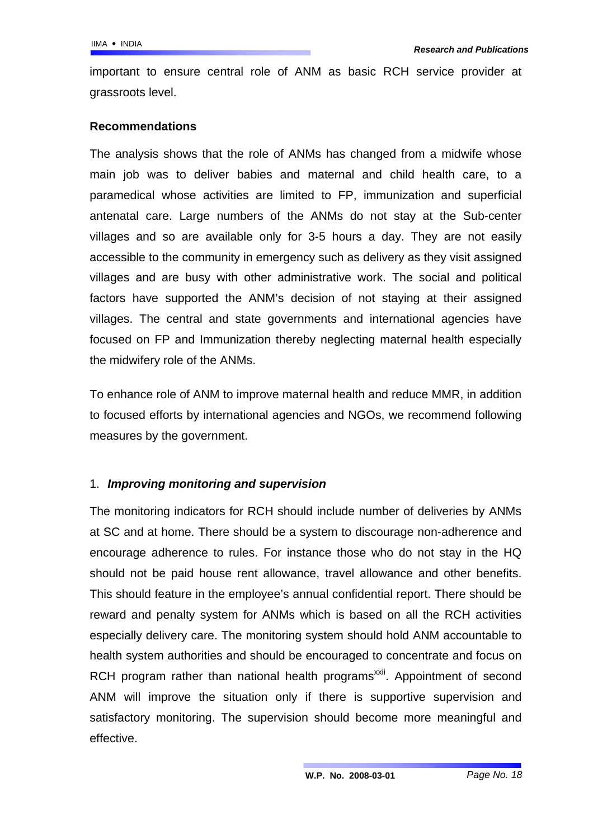important to ensure central role of ANM as basic RCH service provider at grassroots level.

## **Recommendations**

The analysis shows that the role of ANMs has changed from a midwife whose main job was to deliver babies and maternal and child health care, to a paramedical whose activities are limited to FP, immunization and superficial antenatal care. Large numbers of the ANMs do not stay at the Sub-center villages and so are available only for 3-5 hours a day. They are not easily accessible to the community in emergency such as delivery as they visit assigned villages and are busy with other administrative work. The social and political factors have supported the ANM's decision of not staying at their assigned villages. The central and state governments and international agencies have focused on FP and Immunization thereby neglecting maternal health especially the midwifery role of the ANMs.

To enhance role of ANM to improve maternal health and reduce MMR, in addition to focused efforts by international agencies and NGOs, we recommend following measures by the government.

## 1. *Improving monitoring and supervision*

The monitoring indicators for RCH should include number of deliveries by ANMs at SC and at home. There should be a system to discourage non-adherence and encourage adherence to rules. For instance those who do not stay in the HQ should not be paid house rent allowance, travel allowance and other benefits. This should feature in the employee's annual confidential report. There should be reward and penalty system for ANMs which is based on all the RCH activities especially delivery care. The monitoring system should hold ANM accountable to health system authorities and should be encouraged to concentrate and focus on RCH program rather than national health programs<sup>[xxii](#page-19-21)</sup>. Appointment of second ANM will improve the situation only if there is supportive supervision and satisfactory monitoring. The supervision should become more meaningful and effective.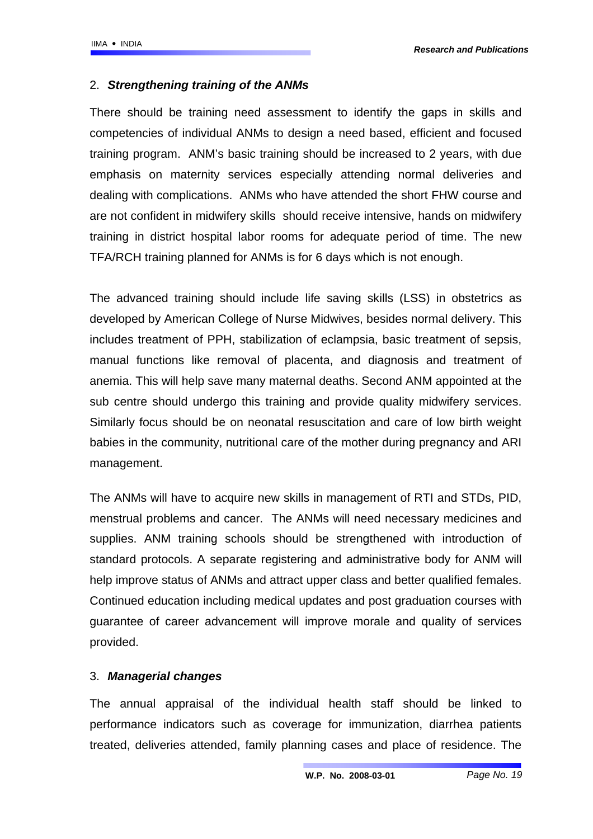## 2. *Strengthening training of the ANMs*

There should be training need assessment to identify the gaps in skills and competencies of individual ANMs to design a need based, efficient and focused training program. ANM's basic training should be increased to 2 years, with due emphasis on maternity services especially attending normal deliveries and dealing with complications. ANMs who have attended the short FHW course and are not confident in midwifery skills should receive intensive, hands on midwifery training in district hospital labor rooms for adequate period of time. The new TFA/RCH training planned for ANMs is for 6 days which is not enough.

The advanced training should include life saving skills (LSS) in obstetrics as developed by American College of Nurse Midwives, besides normal delivery. This includes treatment of PPH, stabilization of eclampsia, basic treatment of sepsis, manual functions like removal of placenta, and diagnosis and treatment of anemia. This will help save many maternal deaths. Second ANM appointed at the sub centre should undergo this training and provide quality midwifery services. Similarly focus should be on neonatal resuscitation and care of low birth weight babies in the community, nutritional care of the mother during pregnancy and ARI management.

The ANMs will have to acquire new skills in management of RTI and STDs, PID, menstrual problems and cancer. The ANMs will need necessary medicines and supplies. ANM training schools should be strengthened with introduction of standard protocols. A separate registering and administrative body for ANM will help improve status of ANMs and attract upper class and better qualified females. Continued education including medical updates and post graduation courses with guarantee of career advancement will improve morale and quality of services provided.

## 3. *Managerial changes*

The annual appraisal of the individual health staff should be linked to performance indicators such as coverage for immunization, diarrhea patients treated, deliveries attended, family planning cases and place of residence. The